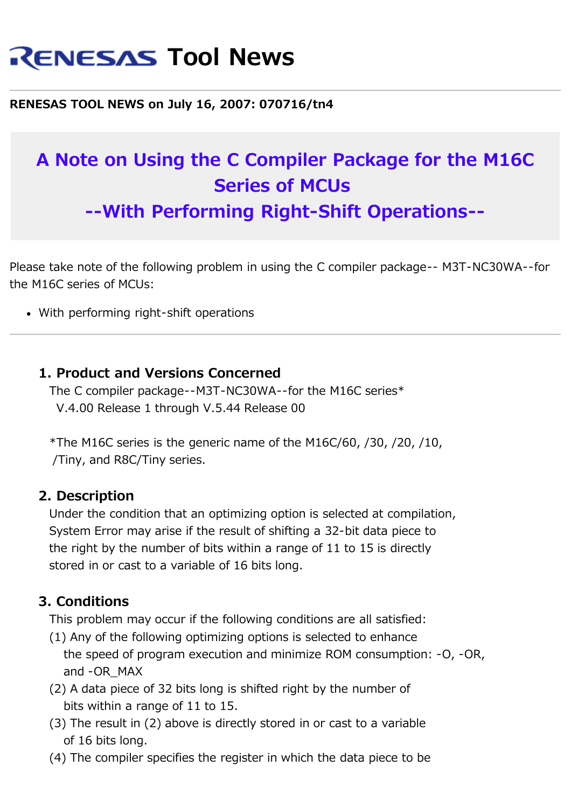# **RENESAS Tool News**

#### **RENESAS TOOL NEWS on July 16, 2007: 070716/tn4**

## **A Note on Using the C Compiler Package for the M16C Series of MCUs**

**--With Performing Right-Shift Operations--**

Please take note of the following problem in using the C compiler package-- M3T-NC30WA--for the M16C series of MCUs:

With performing right-shift operations

#### **1. Product and Versions Concerned**

 The C compiler package--M3T-NC30WA--for the M16C series\* V.4.00 Release 1 through V.5.44 Release 00

\*The M16C series is the generic name of the M16C/60,  $/30$ ,  $/20$ ,  $/10$ , /Tiny, and R8C/Tiny series.

#### **2. Description**

 Under the condition that an optimizing option is selected at compilation, System Error may arise if the result of shifting a 32-bit data piece to the right by the number of bits within a range of 11 to 15 is directly stored in or cast to a variable of 16 bits long.

### **3. Conditions**

This problem may occur if the following conditions are all satisfied:

- (1) Any of the following optimizing options is selected to enhance the speed of program execution and minimize ROM consumption: -O, -OR, and -OR\_MAX
- (2) A data piece of 32 bits long is shifted right by the number of bits within a range of 11 to 15.
- (3) The result in (2) above is directly stored in or cast to a variable of 16 bits long.
- (4) The compiler specifies the register in which the data piece to be